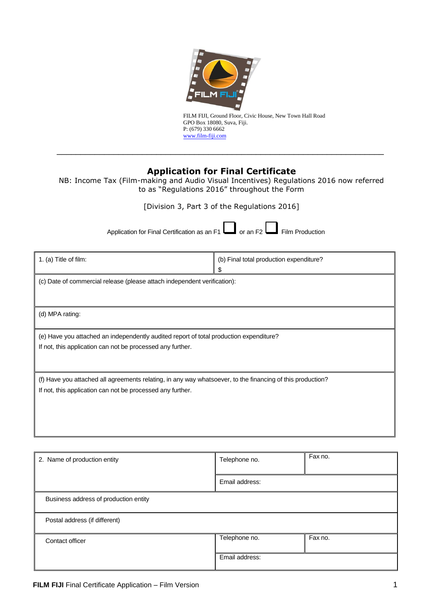

FILM FIJI, Ground Floor, Civic House, New Town Hall Road GPO Box 18080, Suva, Fiji. P: (679) 330 6662 www.film-fiji.com

# **Application for Final Certificate**

\_\_\_\_\_\_\_\_\_\_\_\_\_\_\_\_\_\_\_\_\_\_\_\_\_\_\_\_\_\_\_\_\_\_\_\_\_\_\_\_\_\_\_\_\_\_\_\_\_\_\_\_\_\_\_\_\_\_\_\_\_\_\_\_\_\_\_\_\_

NB: Income Tax (Film-making and Audio Visual Incentives) Regulations 2016 now referred to as "Regulations 2016" throughout the Form

[Division 3, Part 3 of the Regulations 2016]

Application for Final Certification as an F1  $\Box$  or an F2  $\Box$  Film Production

| 1. (a) Title of film:                                                                                                                                                    | (b) Final total production expenditure?<br>\$ |
|--------------------------------------------------------------------------------------------------------------------------------------------------------------------------|-----------------------------------------------|
| (c) Date of commercial release (please attach independent verification):                                                                                                 |                                               |
| (d) MPA rating:                                                                                                                                                          |                                               |
| (e) Have you attached an independently audited report of total production expenditure?<br>If not, this application can not be processed any further.                     |                                               |
| (f) Have you attached all agreements relating, in any way whatsoever, to the financing of this production?<br>If not, this application can not be processed any further. |                                               |

| 2. Name of production entity          | Telephone no.  | Fax no. |
|---------------------------------------|----------------|---------|
|                                       | Email address: |         |
| Business address of production entity |                |         |
| Postal address (if different)         |                |         |
| Contact officer                       | Telephone no.  | Fax no. |
|                                       | Email address: |         |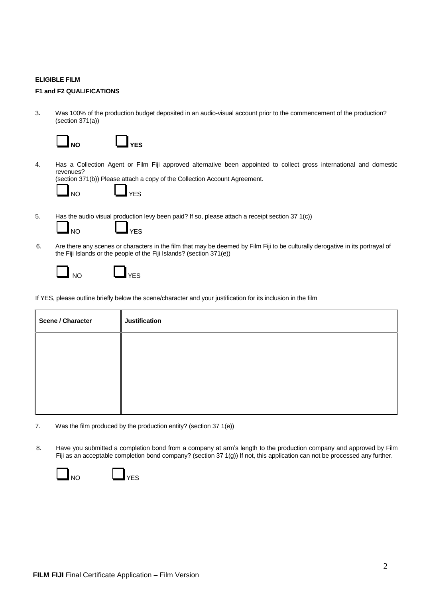#### **ELIGIBLE FILM**

### **F1 and F2 QUALIFICATIONS**

3**.** Was 100% of the production budget deposited in an audio-visual account prior to the commencement of the production? (section 371(a))

| <b>J</b> NO |  |  |
|-------------|--|--|

4. Has a Collection Agent or Film Fiji approved alternative been appointed to collect gross international and domestic revenues?

(section 371(b)) Please attach a copy of the Collection Account Agreement.

**YES** 

**NO YES**

5. Has the audio visual production levy been paid? If so, please attach a receipt section 37 1(c))

6. Are there any scenes or characters in the film that may be deemed by Film Fiji to be culturally derogative in its portrayal of the Fiji Islands or the people of the Fiji Islands? (section 371(e))



NO YES

If YES, please outline briefly below the scene/character and your justification for its inclusion in the film

| <b>Scene / Character</b> | <b>Justification</b> |
|--------------------------|----------------------|
|                          |                      |
|                          |                      |
|                          |                      |
|                          |                      |

- 7. Was the film produced by the production entity? (section 37 1(e))
- 8. Have you submitted a completion bond from a company at arm's length to the production company and approved by Film Fiji as an acceptable completion bond company? (section 37 1(g)) If not, this application can not be processed any further.



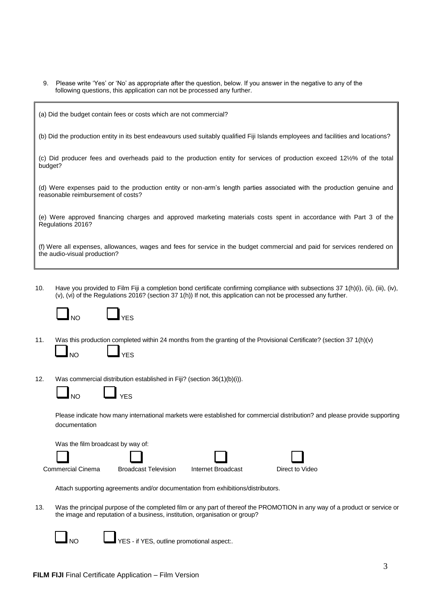- 9. Please write 'Yes' or 'No' as appropriate after the question, below. If you answer in the negative to any of the following questions, this application can not be processed any further.
- (a) Did the budget contain fees or costs which are not commercial?

(b) Did the production entity in its best endeavours used suitably qualified Fiji Islands employees and facilities and locations?

(c) Did producer fees and overheads paid to the production entity for services of production exceed 12½% of the total budget?

(d) Were expenses paid to the production entity or non-arm's length parties associated with the production genuine and reasonable reimbursement of costs?

(e) Were approved financing charges and approved marketing materials costs spent in accordance with Part 3 of the Regulations 2016?

(f) Were all expenses, allowances, wages and fees for service in the budget commercial and paid for services rendered on the audio-visual production?

10. Have you provided to Film Fiji a completion bond certificate confirming compliance with subsections 37 1(h)(i), (ii), (iii), (iv), (v), (vi) of the Regulations 2016? (section 37 1(h)) If not, this application can not be processed any further.



- 11. Was this production completed within 24 months from the granting of the Provisional Certificate? (section 37 1(h)(v) NO LUYES
- 12. Was commercial distribution established in Fiji? (section 36(1)(b)(i)).



Please indicate how many international markets were established for commercial distribution? and please provide supporting documentation

Was the film broadcast by way of:







Attach supporting agreements and/or documentation from exhibitions/distributors.

13. Was the principal purpose of the completed film or any part of thereof the PROMOTION in any way of a product or service or the image and reputation of a business, institution, organisation or group?



YES - if YES, outline promotional aspect:.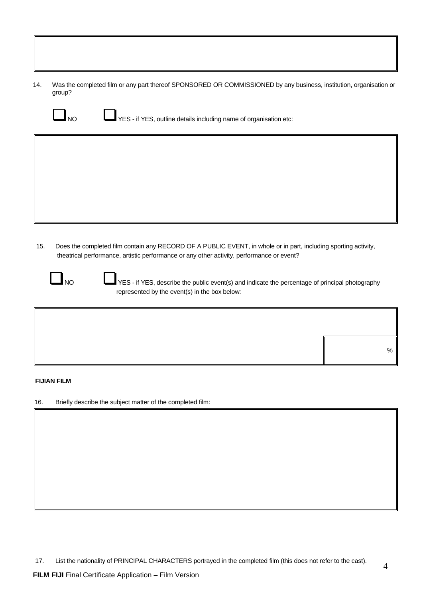14. Was the completed film or any part thereof SPONSORED OR COMMISSIONED by any business, institution, organisation or group?



NO YES - if YES, outline details including name of organisation etc:

15. Does the completed film contain any RECORD OF A PUBLIC EVENT, in whole or in part, including sporting activity, theatrical performance, artistic performance or any other activity, performance or event?



NO YES - if YES, describe the public event(s) and indicate the percentage of principal photography represented by the event(s) in the box below:

#### **FIJIAN FILM**

16. Briefly describe the subject matter of the completed film:

%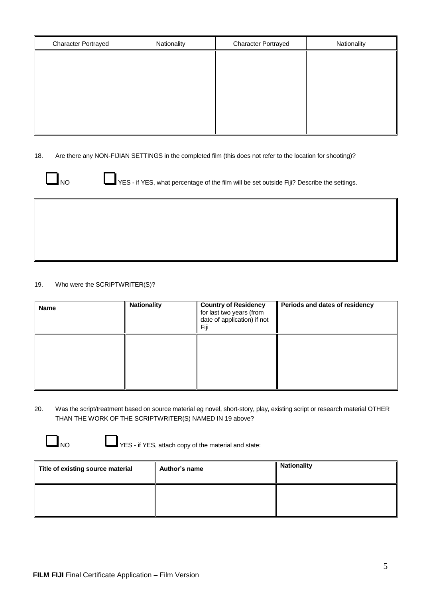| <b>Character Portrayed</b> | Nationality | <b>Character Portrayed</b> | Nationality |
|----------------------------|-------------|----------------------------|-------------|
|                            |             |                            |             |
|                            |             |                            |             |
|                            |             |                            |             |
|                            |             |                            |             |
|                            |             |                            |             |
|                            |             |                            |             |

18. Are there any NON-FIJIAN SETTINGS in the completed film (this does not refer to the location for shooting)?



NO YES - if YES, what percentage of the film will be set outside Fiji? Describe the settings.

19. Who were the SCRIPTWRITER(S)?

| <b>Name</b> | <b>Nationality</b> | <b>Country of Residency</b><br>for last two years (from<br>date of application) if not<br>Fiji | Periods and dates of residency |
|-------------|--------------------|------------------------------------------------------------------------------------------------|--------------------------------|
|             |                    |                                                                                                |                                |

- 20. Was the script/treatment based on source material eg novel, short-story, play, existing script or research material OTHER THAN THE WORK OF THE SCRIPTWRITER(S) NAMED IN 19 above?
	-

 $\Box$  NO  $\Box$  YES - if YES, attach copy of the material and state:

| Title of existing source material | Author's name | <b>Nationality</b> |
|-----------------------------------|---------------|--------------------|
|                                   |               |                    |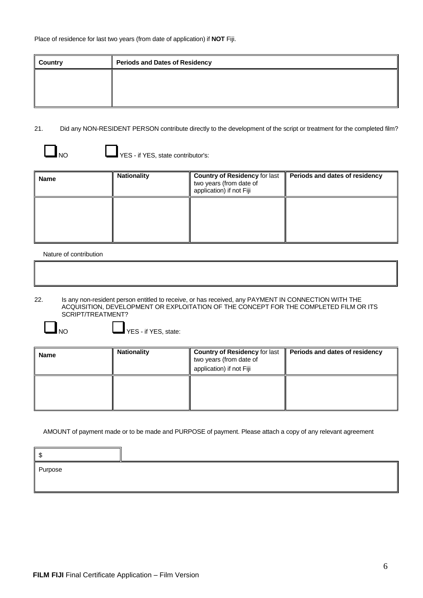| <b>Country</b> | <b>Periods and Dates of Residency</b> |
|----------------|---------------------------------------|
|                |                                       |
|                |                                       |
|                |                                       |

# 21. Did any NON-RESIDENT PERSON contribute directly to the development of the script or treatment for the completed film?

O YES - if YES, state contributor's:

| <b>Name</b> | <b>Nationality</b> | <b>Country of Residency for last</b><br>two years (from date of<br>application) if not Fiji | Periods and dates of residency |
|-------------|--------------------|---------------------------------------------------------------------------------------------|--------------------------------|
|             |                    |                                                                                             |                                |

## Nature of contribution

22. Is any non-resident person entitled to receive, or has received, any PAYMENT IN CONNECTION WITH THE ACQUISITION, DEVELOPMENT OR EXPLOITATION OF THE CONCEPT FOR THE COMPLETED FILM OR ITS SCRIPT/TREATMENT?

NO VES-if YES, state:

| Name | <b>Nationality</b> | <b>Country of Residency for last</b><br>two years (from date of<br>application) if not Fiji | Periods and dates of residency |
|------|--------------------|---------------------------------------------------------------------------------------------|--------------------------------|
|      |                    |                                                                                             |                                |

AMOUNT of payment made or to be made and PURPOSE of payment. Please attach a copy of any relevant agreement

| Purpose |  |
|---------|--|
|         |  |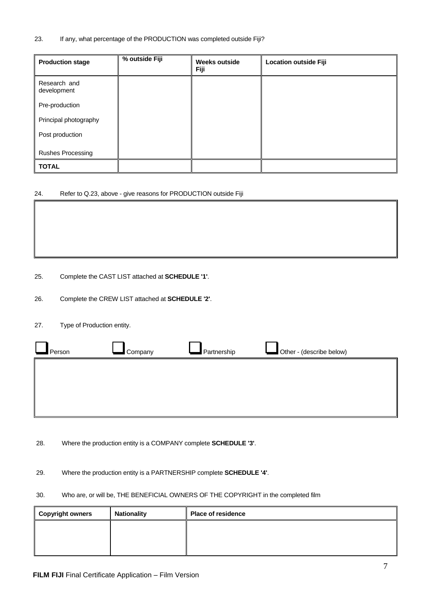### 23. If any, what percentage of the PRODUCTION was completed outside Fiji?

| <b>Production stage</b>     | % outside Fiji | <b>Weeks outside</b><br><b>Fiji</b> | <b>Location outside Fiji</b> |
|-----------------------------|----------------|-------------------------------------|------------------------------|
| Research and<br>development |                |                                     |                              |
| Pre-production              |                |                                     |                              |
| Principal photography       |                |                                     |                              |
| Post production             |                |                                     |                              |
| <b>Rushes Processing</b>    |                |                                     |                              |
| <b>TOTAL</b>                |                |                                     |                              |

## 24. Refer to Q.23, above - give reasons for PRODUCTION outside Fiji

25. Complete the CAST LIST attached at **SCHEDULE '1'**.

26. Complete the CREW LIST attached at **SCHEDULE '2'**.

27. Type of Production entity.

| Person | Company | Partnership | Other - (describe below) |
|--------|---------|-------------|--------------------------|
|        |         |             |                          |
|        |         |             |                          |
|        |         |             |                          |

28. Where the production entity is a COMPANY complete **SCHEDULE '3'**.

29. Where the production entity is a PARTNERSHIP complete **SCHEDULE '4'**.

## 30. Who are, or will be, THE BENEFICIAL OWNERS OF THE COPYRIGHT in the completed film

| Copyright owners | <b>Nationality</b> | <b>Place of residence</b> |
|------------------|--------------------|---------------------------|
|                  |                    |                           |
|                  |                    |                           |
|                  |                    |                           |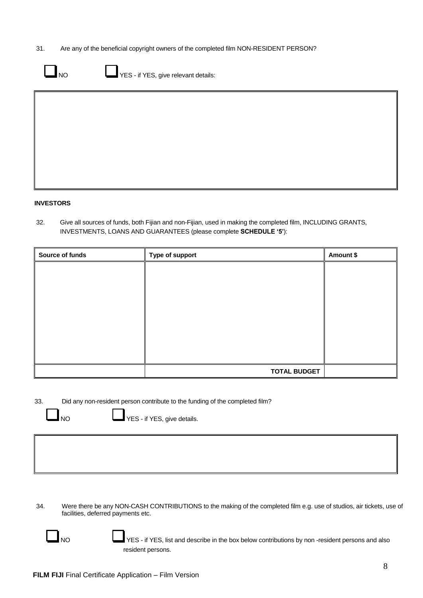31. Are any of the beneficial copyright owners of the completed film NON-RESIDENT PERSON?

|--|

 $\sqrt{\mathsf{YES}}$  - if YES, give relevant details:

#### **INVESTORS**

32. Give all sources of funds, both Fijian and non-Fijian, used in making the completed film, INCLUDING GRANTS, INVESTMENTS, LOANS AND GUARANTEES (please complete **SCHEDULE '5'**):

| Source of funds | Type of support     | Amount \$ |
|-----------------|---------------------|-----------|
|                 |                     |           |
|                 |                     |           |
|                 |                     |           |
|                 |                     |           |
|                 |                     |           |
|                 |                     |           |
|                 |                     |           |
|                 |                     |           |
|                 | <b>TOTAL BUDGET</b> |           |

33. Did any non-resident person contribute to the funding of the completed film?

NO VES - if YES, give details.

34. Were there be any NON-CASH CONTRIBUTIONS to the making of the completed film e.g. use of studios, air tickets, use of facilities, deferred payments etc.



NO YES - if YES, list and describe in the box below contributions by non -resident persons and also resident persons.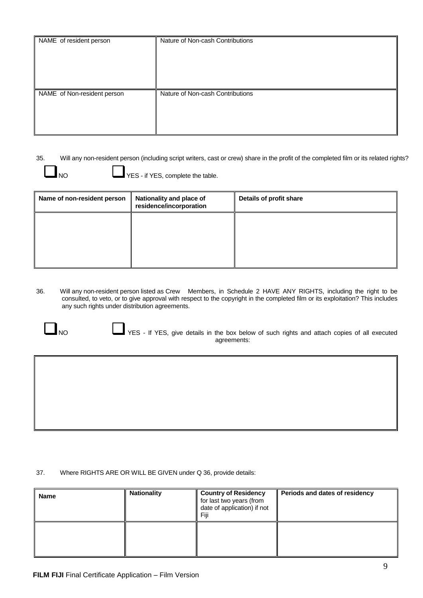| NAME of resident person     | Nature of Non-cash Contributions |
|-----------------------------|----------------------------------|
| NAME of Non-resident person | Nature of Non-cash Contributions |

35. Will any non-resident person (including script writers, cast or crew) share in the profit of the completed film or its related rights?

NO **I** YES - if YES, complete the table.

| Name of non-resident person | Nationality and place of<br>residence/incorporation | Details of profit share |
|-----------------------------|-----------------------------------------------------|-------------------------|
|                             |                                                     |                         |
|                             |                                                     |                         |
|                             |                                                     |                         |

36. Will any non-resident person listed as Crew Members, in Schedule 2 HAVE ANY RIGHTS, including the right to be consulted, to veto, or to give approval with respect to the copyright in the completed film or its exploitation? This includes any such rights under distribution agreements.

NO YES - If YES, give details in the box below of such rights and attach copies of all executed agreements:

37. Where RIGHTS ARE OR WILL BE GIVEN under Q 36, provide details:

| Name | <b>Nationality</b> | <b>Country of Residency</b><br>for last two years (from<br>date of application) if not<br>Fiii | Periods and dates of residency |
|------|--------------------|------------------------------------------------------------------------------------------------|--------------------------------|
|      |                    |                                                                                                |                                |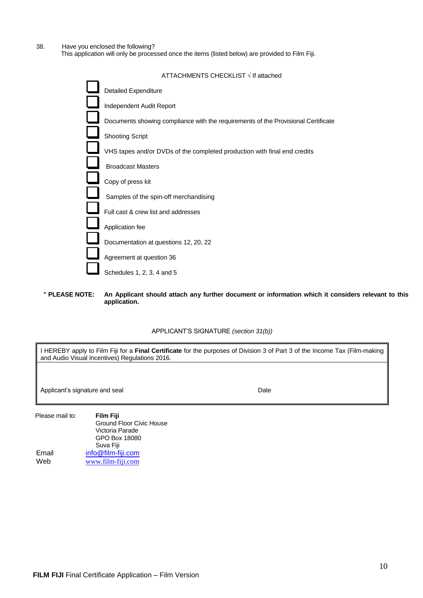38. Have you enclosed the following?

This application will only be processed once the items (listed below) are provided to Film Fiji.

| ATTACHMENTS CHECKLIST √ If attached                                               |
|-----------------------------------------------------------------------------------|
| <b>Detailed Expenditure</b>                                                       |
| Independent Audit Report                                                          |
| Documents showing compliance with the requirements of the Provisional Certificate |
| <b>Shooting Script</b>                                                            |
| VHS tapes and/or DVDs of the completed production with final end credits          |
| <b>Broadcast Masters</b>                                                          |
| Copy of press kit                                                                 |
| Samples of the spin-off merchandising                                             |
| Full cast & crew list and addresses                                               |
| Application fee                                                                   |
| Documentation at questions 12, 20, 22                                             |
| Agreement at question 36                                                          |
| Schedules 1, 2, 3, 4 and 5                                                        |

٭ **PLEASE NOTE: An Applicant should attach any further document or information which it considers relevant to this application.**

APPLICANT'S SIGNATURE *(section 31(b))*

I HEREBY apply to Film Fiji for a **Final Certificate** for the purposes of Division 3 of Part 3 of the Income Tax (Film-making and Audio Visual Incentives) Regulations 2016*.*

Applicant's signature and seal **Date** 

Please mail to: **Film Fiji** Ground Floor Civic House Victoria Parade GPO Box 18080 Suva Fiji Email Web [info@film-fiji.com](mailto:info@film-fiji.com.fj) [www.film-fiji.com](http://www.film-fiji.com/)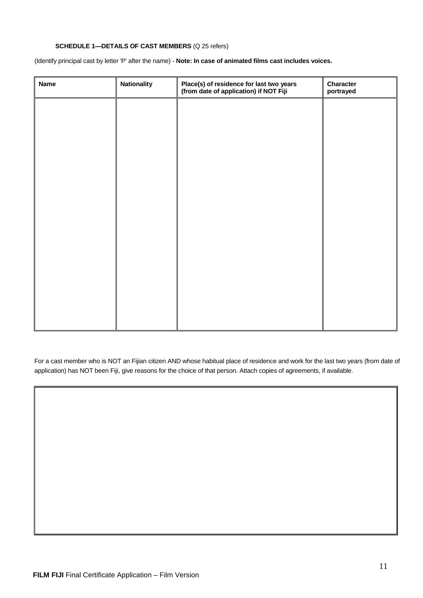### **SCHEDULE 1—DETAILS OF CAST MEMBERS** (Q 25 refers)

(Identify principal cast by letter 'P' after the name) - **Note: In case of animated films cast includes voices.** 

| <b>Name</b> | <b>Nationality</b> | Place(s) of residence for last two years<br>(from date of application) if NOT Fiji | Character<br>portrayed |
|-------------|--------------------|------------------------------------------------------------------------------------|------------------------|
|             |                    |                                                                                    |                        |
|             |                    |                                                                                    |                        |
|             |                    |                                                                                    |                        |
|             |                    |                                                                                    |                        |
|             |                    |                                                                                    |                        |
|             |                    |                                                                                    |                        |
|             |                    |                                                                                    |                        |
|             |                    |                                                                                    |                        |
|             |                    |                                                                                    |                        |
|             |                    |                                                                                    |                        |
|             |                    |                                                                                    |                        |
|             |                    |                                                                                    |                        |

For a cast member who is NOT an Fijian citizen AND whose habitual place of residence and work for the last two years (from date of application) has NOT been Fiji, give reasons for the choice of that person. Attach copies of agreements, if available.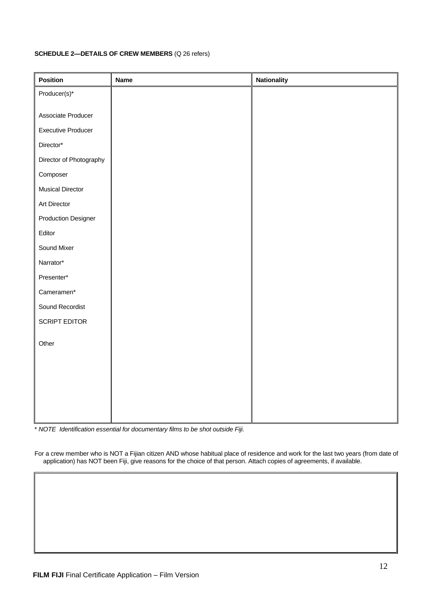## **SCHEDULE 2—DETAILS OF CREW MEMBERS** (Q 26 refers)

| <b>Name</b> | <b>Nationality</b> |
|-------------|--------------------|
|             |                    |
|             |                    |
|             |                    |
|             |                    |
|             |                    |
|             |                    |
|             |                    |
|             |                    |
|             |                    |
|             |                    |
|             |                    |
|             |                    |
|             |                    |
|             |                    |
|             |                    |
|             |                    |
|             |                    |
|             |                    |
|             |                    |
|             |                    |
|             |                    |
|             |                    |
|             |                    |
|             |                    |
|             |                    |

\* *NOTE Identification essential for documentary films to be shot outside Fiji.*

For a crew member who is NOT a Fijian citizen AND whose habitual place of residence and work for the last two years (from date of application) has NOT been Fiji, give reasons for the choice of that person. Attach copies of agreements, if available.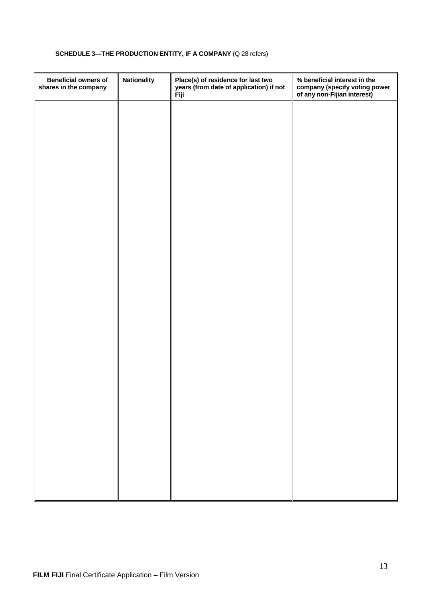# **SCHEDULE 3—THE PRODUCTION ENTITY, IF A COMPANY** (Q 28 refers)

| <b>Beneficial owners of</b><br>shares in the company | <b>Nationality</b> | Place(s) of residence for last two<br>years (from date of application) if not<br>Fiji | % beneficial interest in the<br>company (specify voting power<br>of any non-Fijian interest) |
|------------------------------------------------------|--------------------|---------------------------------------------------------------------------------------|----------------------------------------------------------------------------------------------|
|                                                      |                    |                                                                                       |                                                                                              |
|                                                      |                    |                                                                                       |                                                                                              |
|                                                      |                    |                                                                                       |                                                                                              |
|                                                      |                    |                                                                                       |                                                                                              |
|                                                      |                    |                                                                                       |                                                                                              |
|                                                      |                    |                                                                                       |                                                                                              |
|                                                      |                    |                                                                                       |                                                                                              |
|                                                      |                    |                                                                                       |                                                                                              |
|                                                      |                    |                                                                                       |                                                                                              |
|                                                      |                    |                                                                                       |                                                                                              |
|                                                      |                    |                                                                                       |                                                                                              |
|                                                      |                    |                                                                                       |                                                                                              |
|                                                      |                    |                                                                                       |                                                                                              |
|                                                      |                    |                                                                                       |                                                                                              |
|                                                      |                    |                                                                                       |                                                                                              |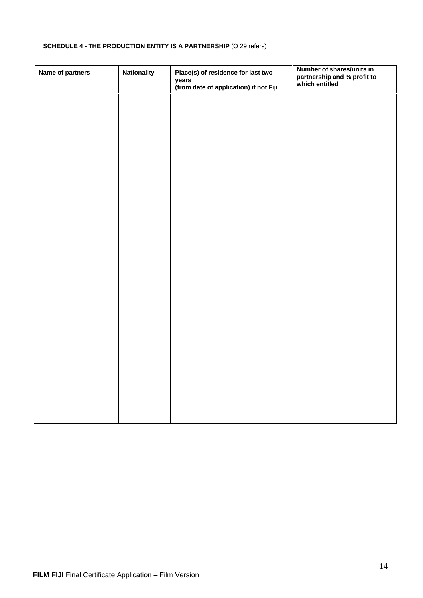# **SCHEDULE 4 - THE PRODUCTION ENTITY IS A PARTNERSHIP** (Q 29 refers)

| Name of partners | <b>Nationality</b> | Place(s) of residence for last two<br>years<br>(from date of application) if not Fiji | Number of shares/units in<br>partnership and % profit to<br>which entitled |
|------------------|--------------------|---------------------------------------------------------------------------------------|----------------------------------------------------------------------------|
|                  |                    |                                                                                       |                                                                            |
|                  |                    |                                                                                       |                                                                            |
|                  |                    |                                                                                       |                                                                            |
|                  |                    |                                                                                       |                                                                            |
|                  |                    |                                                                                       |                                                                            |
|                  |                    |                                                                                       |                                                                            |
|                  |                    |                                                                                       |                                                                            |
|                  |                    |                                                                                       |                                                                            |
|                  |                    |                                                                                       |                                                                            |
|                  |                    |                                                                                       |                                                                            |
|                  |                    |                                                                                       |                                                                            |
|                  |                    |                                                                                       |                                                                            |
|                  |                    |                                                                                       |                                                                            |